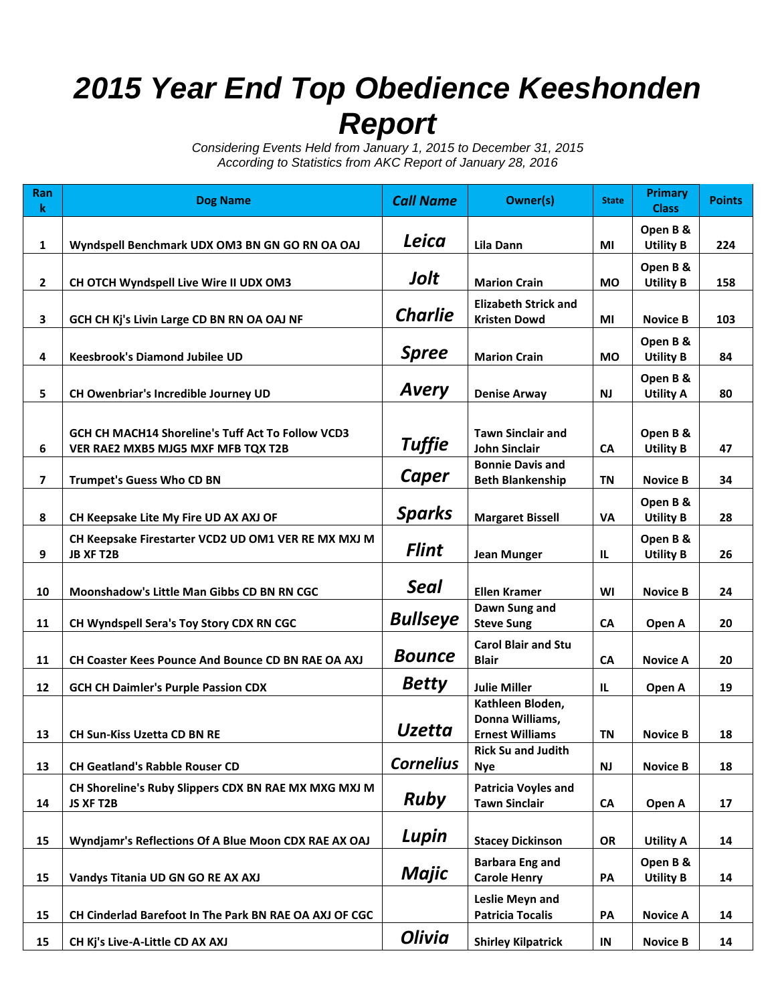## *2015 Year End Top Obedience Keeshonden Report*

*Considering Events Held from January 1, 2015 to December 31, 2015 According to Statistics from AKC Report of January 28, 2016*

| Ran<br>$\bf k$          | <b>Dog Name</b>                                                                         | <b>Call Name</b> | Owner(s)                                                      | <b>State</b> | <b>Primary</b><br><b>Class</b> | <b>Points</b> |
|-------------------------|-----------------------------------------------------------------------------------------|------------------|---------------------------------------------------------------|--------------|--------------------------------|---------------|
| $\mathbf{1}$            | Wyndspell Benchmark UDX OM3 BN GN GO RN OA OAJ                                          | Leica            | Lila Dann                                                     | ΜI           | Open B &<br><b>Utility B</b>   | 224           |
| $\overline{2}$          | CH OTCH Wyndspell Live Wire II UDX OM3                                                  | Jolt             | <b>Marion Crain</b>                                           | <b>MO</b>    | Open B &<br><b>Utility B</b>   | 158           |
| 3                       | GCH CH Kj's Livin Large CD BN RN OA OAJ NF                                              | <b>Charlie</b>   | <b>Elizabeth Strick and</b><br><b>Kristen Dowd</b>            | ΜI           | <b>Novice B</b>                | 103           |
| 4                       | <b>Keesbrook's Diamond Jubilee UD</b>                                                   | <b>Spree</b>     | <b>Marion Crain</b>                                           | <b>MO</b>    | Open B &<br><b>Utility B</b>   | 84            |
| 5                       | CH Owenbriar's Incredible Journey UD                                                    | <b>Avery</b>     | <b>Denise Arway</b>                                           | <b>NJ</b>    | Open B &<br><b>Utility A</b>   | 80            |
| 6                       | GCH CH MACH14 Shoreline's Tuff Act To Follow VCD3<br>VER RAE2 MXB5 MJG5 MXF MFB TQX T2B | <b>Tuffie</b>    | <b>Tawn Sinclair and</b><br><b>John Sinclair</b>              | <b>CA</b>    | Open B &<br><b>Utility B</b>   | 47            |
| $\overline{\mathbf{z}}$ | <b>Trumpet's Guess Who CD BN</b>                                                        | Caper            | <b>Bonnie Davis and</b><br><b>Beth Blankenship</b>            | <b>TN</b>    | <b>Novice B</b>                | 34            |
| 8                       | CH Keepsake Lite My Fire UD AX AXJ OF                                                   | <b>Sparks</b>    | <b>Margaret Bissell</b>                                       | VA           | Open B &<br><b>Utility B</b>   | 28            |
| 9                       | CH Keepsake Firestarter VCD2 UD OM1 VER RE MX MXJ M<br><b>JB XF T2B</b>                 | <b>Flint</b>     | <b>Jean Munger</b>                                            | IL           | Open B &<br><b>Utility B</b>   | 26            |
| 10                      | Moonshadow's Little Man Gibbs CD BN RN CGC                                              | Seal             | <b>Ellen Kramer</b>                                           | WI           | <b>Novice B</b>                | 24            |
| 11                      | CH Wyndspell Sera's Toy Story CDX RN CGC                                                | <b>Bullseye</b>  | Dawn Sung and<br><b>Steve Sung</b>                            | CA           | Open A                         | 20            |
| 11                      | <b>CH Coaster Kees Pounce And Bounce CD BN RAE OA AXJ</b>                               | <b>Bounce</b>    | <b>Carol Blair and Stu</b><br><b>Blair</b>                    | <b>CA</b>    | <b>Novice A</b>                | 20            |
| 12                      | <b>GCH CH Daimler's Purple Passion CDX</b>                                              | <b>Betty</b>     | <b>Julie Miller</b>                                           | IL.          | Open A                         | 19            |
| 13                      | <b>CH Sun-Kiss Uzetta CD BN RE</b>                                                      | <b>Uzetta</b>    | Kathleen Bloden,<br>Donna Williams,<br><b>Ernest Williams</b> | TN           | <b>Novice B</b>                | 18            |
| 13                      | <b>CH Geatland's Rabble Rouser CD</b>                                                   | <b>Cornelius</b> | <b>Rick Su and Judith</b><br><b>Nye</b>                       | <b>NJ</b>    | <b>Novice B</b>                | 18            |
| 14                      | CH Shoreline's Ruby Slippers CDX BN RAE MX MXG MXJ M<br>JS XF T2B                       | <b>Ruby</b>      | <b>Patricia Voyles and</b><br><b>Tawn Sinclair</b>            | CA           | Open A                         | 17            |
| 15                      | Wyndjamr's Reflections Of A Blue Moon CDX RAE AX OAJ                                    | Lupin            | <b>Stacey Dickinson</b>                                       | OR           | <b>Utility A</b>               | 14            |
| 15                      | Vandys Titania UD GN GO RE AX AXJ                                                       | Majic            | <b>Barbara Eng and</b><br><b>Carole Henry</b>                 | PA           | Open B &<br><b>Utility B</b>   | 14            |
| 15                      | CH Cinderlad Barefoot In The Park BN RAE OA AXJ OF CGC                                  |                  | Leslie Meyn and<br><b>Patricia Tocalis</b>                    | PA           | <b>Novice A</b>                | 14            |
| 15                      | CH Kj's Live-A-Little CD AX AXJ                                                         | Olivia           | <b>Shirley Kilpatrick</b>                                     | IN           | <b>Novice B</b>                | 14            |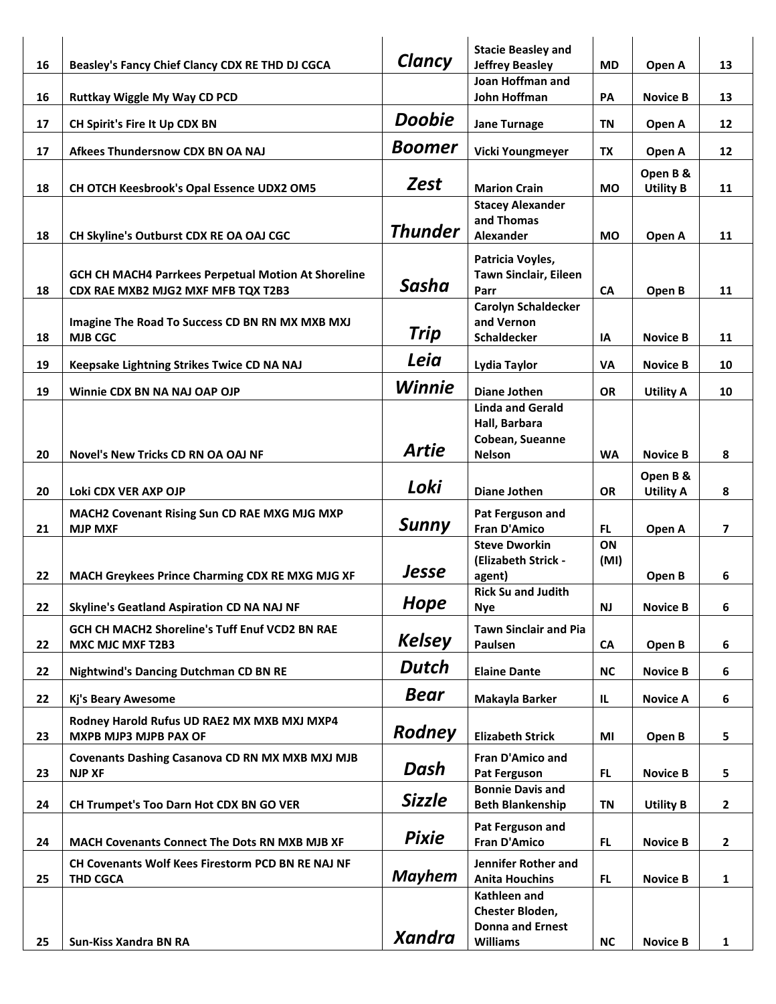|    |                                                            |                | <b>Stacie Beasley and</b>                        |           |                  |                         |
|----|------------------------------------------------------------|----------------|--------------------------------------------------|-----------|------------------|-------------------------|
| 16 | Beasley's Fancy Chief Clancy CDX RE THD DJ CGCA            | Clancy         | <b>Jeffrey Beasley</b>                           | <b>MD</b> | Open A           | 13                      |
|    |                                                            |                | Joan Hoffman and                                 |           |                  |                         |
| 16 | Ruttkay Wiggle My Way CD PCD                               |                | John Hoffman                                     | PA        | <b>Novice B</b>  | 13                      |
| 17 | CH Spirit's Fire It Up CDX BN                              | <b>Doobie</b>  | <b>Jane Turnage</b>                              | TN        | Open A           | 12                      |
|    |                                                            | Boomer         |                                                  |           |                  |                         |
| 17 | Afkees Thundersnow CDX BN OA NAJ                           |                | Vicki Youngmeyer                                 | TX        | Open A           | 12                      |
|    |                                                            | Zest           |                                                  |           | Open B &         |                         |
| 18 | CH OTCH Keesbrook's Opal Essence UDX2 OM5                  |                | <b>Marion Crain</b>                              | <b>MO</b> | <b>Utility B</b> | 11                      |
|    |                                                            |                | <b>Stacey Alexander</b><br>and Thomas            |           |                  |                         |
| 18 | CH Skyline's Outburst CDX RE OA OAJ CGC                    | <b>Thunder</b> | Alexander                                        | <b>MO</b> | Open A           | 11                      |
|    |                                                            |                |                                                  |           |                  |                         |
|    | <b>GCH CH MACH4 Parrkees Perpetual Motion At Shoreline</b> |                | Patricia Voyles,<br><b>Tawn Sinclair, Eileen</b> |           |                  |                         |
| 18 | CDX RAE MXB2 MJG2 MXF MFB TQX T2B3                         | Sasha          | Parr                                             | CA        | Open B           | 11                      |
|    |                                                            |                | <b>Carolyn Schaldecker</b>                       |           |                  |                         |
|    | Imagine The Road To Success CD BN RN MX MXB MXJ            |                | and Vernon                                       |           |                  |                         |
| 18 | <b>MJB CGC</b>                                             | Trip           | Schaldecker                                      | IA        | <b>Novice B</b>  | 11                      |
|    |                                                            | Leia           |                                                  |           |                  |                         |
| 19 | Keepsake Lightning Strikes Twice CD NA NAJ                 |                | Lydia Taylor                                     | VA        | <b>Novice B</b>  | 10                      |
| 19 | Winnie CDX BN NA NAJ OAP OJP                               | <b>Winnie</b>  | <b>Diane Jothen</b>                              | <b>OR</b> | <b>Utility A</b> | 10                      |
|    |                                                            |                | <b>Linda and Gerald</b>                          |           |                  |                         |
|    |                                                            |                | Hall, Barbara                                    |           |                  |                         |
| 20 | <b>Novel's New Tricks CD RN OA OAJ NF</b>                  | Artie          | Cobean, Sueanne<br><b>Nelson</b>                 | <b>WA</b> | <b>Novice B</b>  | 8                       |
|    |                                                            |                |                                                  |           |                  |                         |
|    |                                                            | Loki           |                                                  |           | Open B &         |                         |
| 20 | Loki CDX VER AXP OJP                                       |                | Diane Jothen                                     | <b>OR</b> | <b>Utility A</b> | 8                       |
|    | MACH2 Covenant Rising Sun CD RAE MXG MJG MXP               | Sunny          | Pat Ferguson and                                 |           |                  |                         |
| 21 | <b>MJP MXF</b>                                             |                | <b>Fran D'Amico</b><br><b>Steve Dworkin</b>      | FL.<br>ON | Open A           | $\overline{\mathbf{z}}$ |
|    |                                                            |                | (Elizabeth Strick -                              | (MI)      |                  |                         |
| 22 | MACH Greykees Prince Charming CDX RE MXG MJG XF            | Jesse          | agent)                                           |           | Open B           | 6                       |
|    |                                                            |                | <b>Rick Su and Judith</b>                        |           |                  |                         |
| 22 | <b>Skyline's Geatland Aspiration CD NA NAJ NF</b>          | Hope           | Nye                                              | <b>NJ</b> | <b>Novice B</b>  | 6                       |
|    | GCH CH MACH2 Shoreline's Tuff Enuf VCD2 BN RAE             |                | <b>Tawn Sinclair and Pia</b>                     |           |                  |                         |
| 22 | <b>MXC MJC MXF T2B3</b>                                    | <b>Kelsey</b>  | Paulsen                                          | CA        | Open B           | 6                       |
| 22 | <b>Nightwind's Dancing Dutchman CD BN RE</b>               | <b>Dutch</b>   | <b>Elaine Dante</b>                              | <b>NC</b> | <b>Novice B</b>  | 6                       |
|    |                                                            |                |                                                  |           |                  |                         |
| 22 | Kj's Beary Awesome                                         | <b>Bear</b>    | Makayla Barker                                   | IL        | <b>Novice A</b>  | 6                       |
|    | Rodney Harold Rufus UD RAE2 MX MXB MXJ MXP4                |                |                                                  |           |                  |                         |
| 23 | MXPB MJP3 MJPB PAX OF                                      | <b>Rodney</b>  | <b>Elizabeth Strick</b>                          | MI        | Open B           | 5                       |
|    | Covenants Dashing Casanova CD RN MX MXB MXJ MJB            |                | Fran D'Amico and                                 |           |                  |                         |
| 23 | <b>NJP XF</b>                                              | Dash           | Pat Ferguson                                     | FL.       | <b>Novice B</b>  | 5                       |
|    |                                                            |                | <b>Bonnie Davis and</b>                          |           |                  |                         |
| 24 | CH Trumpet's Too Darn Hot CDX BN GO VER                    | <b>Sizzle</b>  | <b>Beth Blankenship</b>                          | ΤN        | <b>Utility B</b> | $\mathbf{2}$            |
|    |                                                            |                | Pat Ferguson and                                 |           |                  |                         |
| 24 | MACH Covenants Connect The Dots RN MXB MJB XF              | <b>Pixie</b>   | <b>Fran D'Amico</b>                              | FL.       | <b>Novice B</b>  | $\mathbf{2}$            |
|    | CH Covenants Wolf Kees Firestorm PCD BN RE NAJ NF          |                | Jennifer Rother and                              |           |                  |                         |
| 25 | <b>THD CGCA</b>                                            | <b>Mayhem</b>  | <b>Anita Houchins</b>                            | FL.       | <b>Novice B</b>  | $\mathbf{1}$            |
|    |                                                            |                | Kathleen and                                     |           |                  |                         |
|    |                                                            |                | Chester Bloden,                                  |           |                  |                         |
| 25 | Sun-Kiss Xandra BN RA                                      | <b>Xandra</b>  | <b>Donna and Ernest</b><br><b>Williams</b>       | NC        | <b>Novice B</b>  | $\mathbf{1}$            |
|    |                                                            |                |                                                  |           |                  |                         |